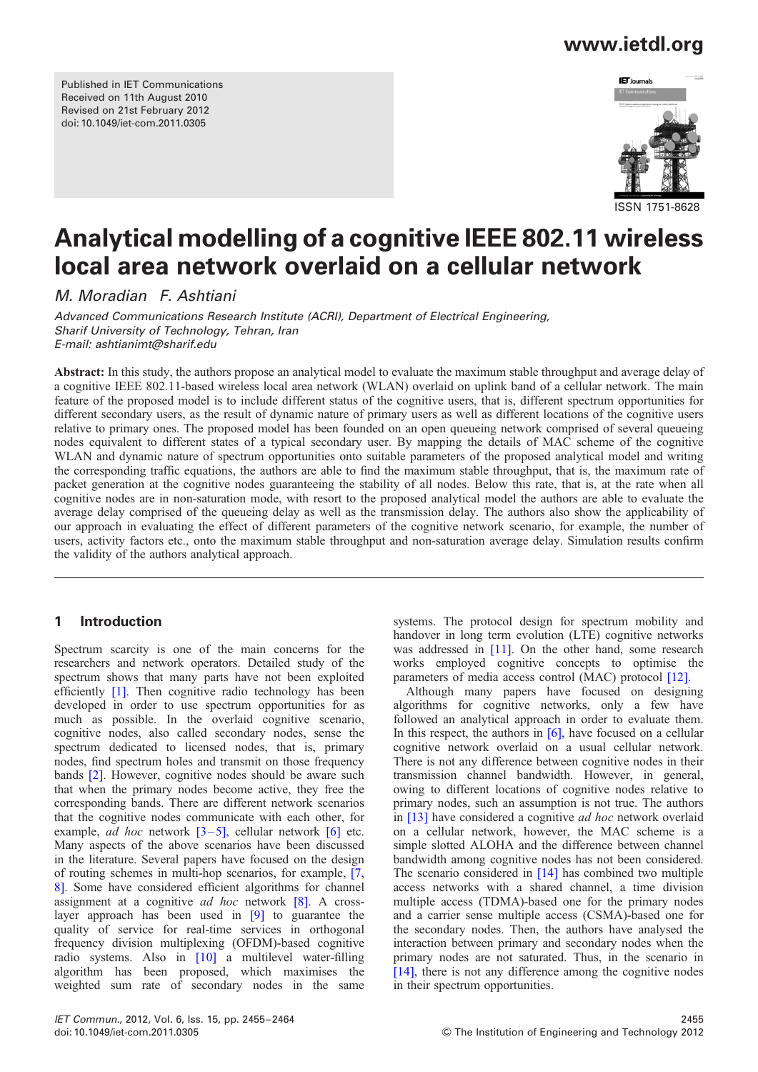Published in IET Communications Received on 11th August 2010 Revised on 21st February 2012 doi: 10.1049/iet-com.2011.0305

# www.ietdl.org



# Analytical modelling of a cognitive IEEE 802.11 wireless local area network overlaid on a cellular network

M. Moradian F. Ashtiani

Advanced Communications Research Institute (ACRI), Department of Electrical Engineering, Sharif University of Technology, Tehran, Iran E-mail: ashtianimt@sharif.edu

Abstract: In this study, the authors propose an analytical model to evaluate the maximum stable throughput and average delay of a cognitive IEEE 802.11-based wireless local area network (WLAN) overlaid on uplink band of a cellular network. The main feature of the proposed model is to include different status of the cognitive users, that is, different spectrum opportunities for different secondary users, as the result of dynamic nature of primary users as well as different locations of the cognitive users relative to primary ones. The proposed model has been founded on an open queueing network comprised of several queueing nodes equivalent to different states of a typical secondary user. By mapping the details of MAC scheme of the cognitive WLAN and dynamic nature of spectrum opportunities onto suitable parameters of the proposed analytical model and writing the corresponding traffic equations, the authors are able to find the maximum stable throughput, that is, the maximum rate of packet generation at the cognitive nodes guaranteeing the stability of all nodes. Below this rate, that is, at the rate when all cognitive nodes are in non-saturation mode, with resort to the proposed analytical model the authors are able to evaluate the average delay comprised of the queueing delay as well as the transmission delay. The authors also show the applicability of our approach in evaluating the effect of different parameters of the cognitive network scenario, for example, the number of users, activity factors etc., onto the maximum stable throughput and non-saturation average delay. Simulation results confirm the validity of the authors analytical approach.

### 1 Introduction

Spectrum scarcity is one of the main concerns for the researchers and network operators. Detailed study of the spectrum shows that many parts have not been exploited efficiently [1]. Then cognitive radio technology has been developed in order to use spectrum opportunities for as much as possible. In the overlaid cognitive scenario, cognitive nodes, also called secondary nodes, sense the spectrum dedicated to licensed nodes, that is, primary nodes, find spectrum holes and transmit on those frequency bands [2]. However, cognitive nodes should be aware such that when the primary nodes become active, they free the corresponding bands. There are different network scenarios that the cognitive nodes communicate with each other, for example, *ad hoc* network  $[3-5]$ , cellular network  $[6]$  etc. Many aspects of the above scenarios have been discussed in the literature. Several papers have focused on the design of routing schemes in multi-hop scenarios, for example, [7, 8]. Some have considered efficient algorithms for channel assignment at a cognitive ad hoc network [8]. A crosslayer approach has been used in [9] to guarantee the quality of service for real-time services in orthogonal frequency division multiplexing (OFDM)-based cognitive radio systems. Also in [10] a multilevel water-filling algorithm has been proposed, which maximises the weighted sum rate of secondary nodes in the same

systems. The protocol design for spectrum mobility and handover in long term evolution (LTE) cognitive networks was addressed in [11]. On the other hand, some research works employed cognitive concepts to optimise the parameters of media access control (MAC) protocol [12].

Although many papers have focused on designing algorithms for cognitive networks, only a few have followed an analytical approach in order to evaluate them. In this respect, the authors in  $[6]$ , have focused on a cellular cognitive network overlaid on a usual cellular network. There is not any difference between cognitive nodes in their transmission channel bandwidth. However, in general, owing to different locations of cognitive nodes relative to primary nodes, such an assumption is not true. The authors in [13] have considered a cognitive *ad hoc* network overlaid on a cellular network, however, the MAC scheme is a simple slotted ALOHA and the difference between channel bandwidth among cognitive nodes has not been considered. The scenario considered in [14] has combined two multiple access networks with a shared channel, a time division multiple access (TDMA)-based one for the primary nodes and a carrier sense multiple access (CSMA)-based one for the secondary nodes. Then, the authors have analysed the interaction between primary and secondary nodes when the primary nodes are not saturated. Thus, in the scenario in [14], there is not any difference among the cognitive nodes in their spectrum opportunities.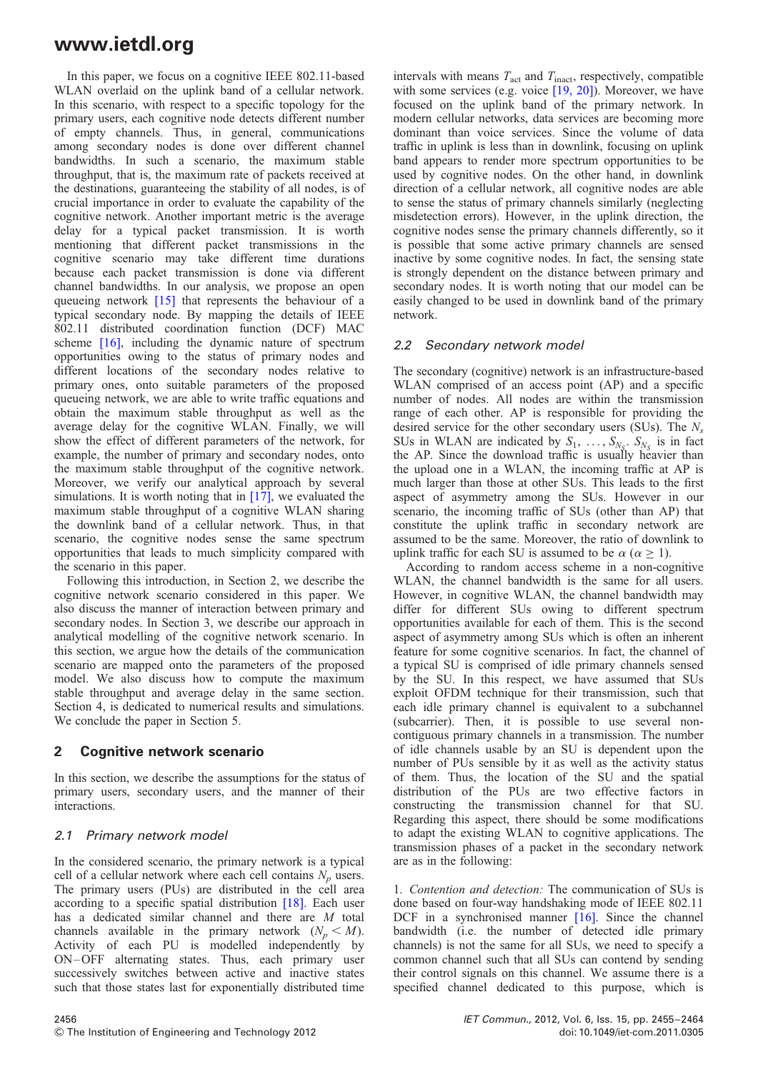In this paper, we focus on a cognitive IEEE 802.11-based WLAN overlaid on the uplink band of a cellular network. In this scenario, with respect to a specific topology for the primary users, each cognitive node detects different number of empty channels. Thus, in general, communications among secondary nodes is done over different channel bandwidths. In such a scenario, the maximum stable throughput, that is, the maximum rate of packets received at the destinations, guaranteeing the stability of all nodes, is of crucial importance in order to evaluate the capability of the cognitive network. Another important metric is the average delay for a typical packet transmission. It is worth mentioning that different packet transmissions in the cognitive scenario may take different time durations because each packet transmission is done via different channel bandwidths. In our analysis, we propose an open queueing network [15] that represents the behaviour of a typical secondary node. By mapping the details of IEEE 802.11 distributed coordination function (DCF) MAC scheme [16], including the dynamic nature of spectrum opportunities owing to the status of primary nodes and different locations of the secondary nodes relative to primary ones, onto suitable parameters of the proposed queueing network, we are able to write traffic equations and obtain the maximum stable throughput as well as the average delay for the cognitive WLAN. Finally, we will show the effect of different parameters of the network, for example, the number of primary and secondary nodes, onto the maximum stable throughput of the cognitive network. Moreover, we verify our analytical approach by several simulations. It is worth noting that in  $[17]$ , we evaluated the maximum stable throughput of a cognitive WLAN sharing the downlink band of a cellular network. Thus, in that scenario, the cognitive nodes sense the same spectrum opportunities that leads to much simplicity compared with the scenario in this paper.

Following this introduction, in Section 2, we describe the cognitive network scenario considered in this paper. We also discuss the manner of interaction between primary and secondary nodes. In Section 3, we describe our approach in analytical modelling of the cognitive network scenario. In this section, we argue how the details of the communication scenario are mapped onto the parameters of the proposed model. We also discuss how to compute the maximum stable throughput and average delay in the same section. Section 4, is dedicated to numerical results and simulations. We conclude the paper in Section 5.

### 2 Cognitive network scenario

In this section, we describe the assumptions for the status of primary users, secondary users, and the manner of their interactions.

### 2.1 Primary network model

In the considered scenario, the primary network is a typical cell of a cellular network where each cell contains  $N_p$  users. The primary users (PUs) are distributed in the cell area according to a specific spatial distribution [18]. Each user has a dedicated similar channel and there are M total channels available in the primary network  $(N_p \le M)$ . Activity of each PU is modelled independently by ON –OFF alternating states. Thus, each primary user successively switches between active and inactive states such that those states last for exponentially distributed time

intervals with means  $T_{\text{act}}$  and  $T_{\text{inact}}$ , respectively, compatible with some services (e.g. voice [19, 20]). Moreover, we have focused on the uplink band of the primary network. In modern cellular networks, data services are becoming more dominant than voice services. Since the volume of data traffic in uplink is less than in downlink, focusing on uplink band appears to render more spectrum opportunities to be used by cognitive nodes. On the other hand, in downlink direction of a cellular network, all cognitive nodes are able to sense the status of primary channels similarly (neglecting misdetection errors). However, in the uplink direction, the cognitive nodes sense the primary channels differently, so it is possible that some active primary channels are sensed inactive by some cognitive nodes. In fact, the sensing state is strongly dependent on the distance between primary and secondary nodes. It is worth noting that our model can be easily changed to be used in downlink band of the primary network.

#### 2.2 Secondary network model

The secondary (cognitive) network is an infrastructure-based WLAN comprised of an access point (AP) and a specific number of nodes. All nodes are within the transmission range of each other. AP is responsible for providing the desired service for the other secondary users (SUs). The  $N_s$ SUs in WLAN are indicated by  $S_1, \ldots, S_{N_S}$ .  $S_{N_S}$  is in fact the AP. Since the download traffic is usually heavier than the upload one in a WLAN, the incoming traffic at AP is much larger than those at other SUs. This leads to the first aspect of asymmetry among the SUs. However in our scenario, the incoming traffic of SUs (other than AP) that constitute the uplink traffic in secondary network are assumed to be the same. Moreover, the ratio of downlink to uplink traffic for each SU is assumed to be  $\alpha$  ( $\alpha$  > 1).

According to random access scheme in a non-cognitive WLAN, the channel bandwidth is the same for all users. However, in cognitive WLAN, the channel bandwidth may differ for different SUs owing to different spectrum opportunities available for each of them. This is the second aspect of asymmetry among SUs which is often an inherent feature for some cognitive scenarios. In fact, the channel of a typical SU is comprised of idle primary channels sensed by the SU. In this respect, we have assumed that SUs exploit OFDM technique for their transmission, such that each idle primary channel is equivalent to a subchannel (subcarrier). Then, it is possible to use several noncontiguous primary channels in a transmission. The number of idle channels usable by an SU is dependent upon the number of PUs sensible by it as well as the activity status of them. Thus, the location of the SU and the spatial distribution of the PUs are two effective factors in constructing the transmission channel for that SU. Regarding this aspect, there should be some modifications to adapt the existing WLAN to cognitive applications. The transmission phases of a packet in the secondary network are as in the following:

1. Contention and detection: The communication of SUs is done based on four-way handshaking mode of IEEE 802.11 DCF in a synchronised manner [16]. Since the channel bandwidth (i.e. the number of detected idle primary channels) is not the same for all SUs, we need to specify a common channel such that all SUs can contend by sending their control signals on this channel. We assume there is a specified channel dedicated to this purpose, which is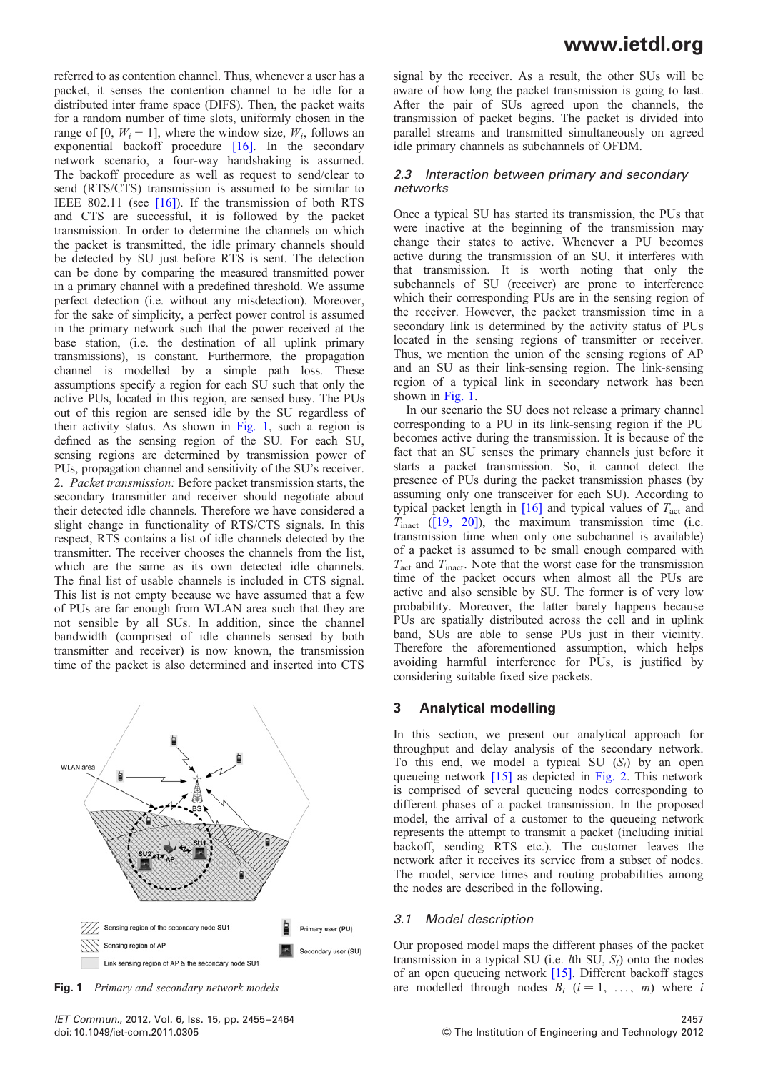referred to as contention channel. Thus, whenever a user has a packet, it senses the contention channel to be idle for a distributed inter frame space (DIFS). Then, the packet waits for a random number of time slots, uniformly chosen in the range of [0,  $W_i - 1$ ], where the window size,  $W_i$ , follows an exponential backoff procedure [16]. In the secondary network scenario, a four-way handshaking is assumed. The backoff procedure as well as request to send/clear to send (RTS/CTS) transmission is assumed to be similar to IEEE 802.11 (see [16]). If the transmission of both RTS and CTS are successful, it is followed by the packet transmission. In order to determine the channels on which the packet is transmitted, the idle primary channels should be detected by SU just before RTS is sent. The detection can be done by comparing the measured transmitted power in a primary channel with a predefined threshold. We assume perfect detection (i.e. without any misdetection). Moreover, for the sake of simplicity, a perfect power control is assumed in the primary network such that the power received at the base station, (i.e. the destination of all uplink primary transmissions), is constant. Furthermore, the propagation channel is modelled by a simple path loss. These assumptions specify a region for each SU such that only the active PUs, located in this region, are sensed busy. The PUs out of this region are sensed idle by the SU regardless of their activity status. As shown in Fig. 1, such a region is defined as the sensing region of the SU. For each SU, sensing regions are determined by transmission power of PUs, propagation channel and sensitivity of the SU's receiver. 2. Packet transmission: Before packet transmission starts, the secondary transmitter and receiver should negotiate about their detected idle channels. Therefore we have considered a slight change in functionality of RTS/CTS signals. In this respect, RTS contains a list of idle channels detected by the transmitter. The receiver chooses the channels from the list, which are the same as its own detected idle channels. The final list of usable channels is included in CTS signal. This list is not empty because we have assumed that a few of PUs are far enough from WLAN area such that they are not sensible by all SUs. In addition, since the channel bandwidth (comprised of idle channels sensed by both transmitter and receiver) is now known, the transmission time of the packet is also determined and inserted into CTS



signal by the receiver. As a result, the other SUs will be aware of how long the packet transmission is going to last. After the pair of SUs agreed upon the channels, the transmission of packet begins. The packet is divided into parallel streams and transmitted simultaneously on agreed idle primary channels as subchannels of OFDM.

#### 2.3 Interaction between primary and secondary networks

Once a typical SU has started its transmission, the PUs that were inactive at the beginning of the transmission may change their states to active. Whenever a PU becomes active during the transmission of an SU, it interferes with that transmission. It is worth noting that only the subchannels of SU (receiver) are prone to interference which their corresponding PUs are in the sensing region of the receiver. However, the packet transmission time in a secondary link is determined by the activity status of PUs located in the sensing regions of transmitter or receiver. Thus, we mention the union of the sensing regions of AP and an SU as their link-sensing region. The link-sensing region of a typical link in secondary network has been shown in Fig. 1.

In our scenario the SU does not release a primary channel corresponding to a PU in its link-sensing region if the PU becomes active during the transmission. It is because of the fact that an SU senses the primary channels just before it starts a packet transmission. So, it cannot detect the presence of PUs during the packet transmission phases (by assuming only one transceiver for each SU). According to typical packet length in  $[16]$  and typical values of  $T<sub>act</sub>$  and  $T_{\text{inact}}$  ([19, 20]), the maximum transmission time (i.e. transmission time when only one subchannel is available) of a packet is assumed to be small enough compared with  $T_{\text{act}}$  and  $T_{\text{inact}}$ . Note that the worst case for the transmission time of the packet occurs when almost all the PUs are active and also sensible by SU. The former is of very low probability. Moreover, the latter barely happens because PUs are spatially distributed across the cell and in uplink band, SUs are able to sense PUs just in their vicinity. Therefore the aforementioned assumption, which helps avoiding harmful interference for PUs, is justified by considering suitable fixed size packets.

### 3 Analytical modelling

In this section, we present our analytical approach for throughput and delay analysis of the secondary network. To this end, we model a typical SU  $(S_l)$  by an open queueing network [15] as depicted in Fig. 2. This network is comprised of several queueing nodes corresponding to different phases of a packet transmission. In the proposed model, the arrival of a customer to the queueing network represents the attempt to transmit a packet (including initial backoff, sending RTS etc.). The customer leaves the network after it receives its service from a subset of nodes. The model, service times and routing probabilities among the nodes are described in the following.

#### 3.1 Model description

Our proposed model maps the different phases of the packet transmission in a typical SU (i.e. *th SU,*  $S_l$ *) onto the nodes* of an open queueing network [15]. Different backoff stages Fig. 1 Primary and secondary network models are modelled through nodes  $B_i$  ( $i = 1, \ldots, m$ ) where i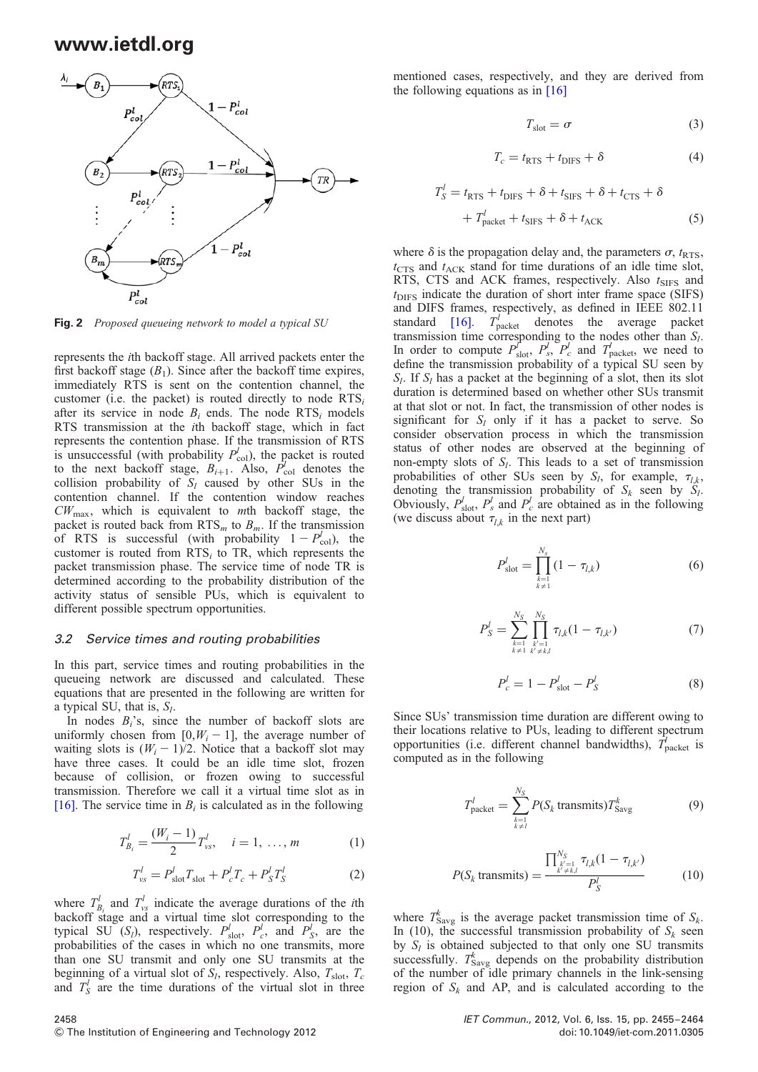

Fig. 2 Proposed queueing network to model a typical SU

represents the ith backoff stage. All arrived packets enter the first backoff stage  $(B_1)$ . Since after the backoff time expires, immediately RTS is sent on the contention channel, the customer (i.e. the packet) is routed directly to node  $RTS_i$ after its service in node  $B_i$  ends. The node RTS<sub>i</sub> models RTS transmission at the ith backoff stage, which in fact represents the contention phase. If the transmission of RTS is unsuccessful (with probability  $P_{\text{col}}^l$ ), the packet is routed to the next backoff stage,  $B_{i+1}$ . Also,  $P_{\text{col}}^l$  denotes the collision probability of  $S_l$  caused by other SUs in the contention channel. If the contention window reaches  $CW_{\text{max}}$ , which is equivalent to mth backoff stage, the packet is routed back from  $RTS_m$  to  $B_m$ . If the transmission of RTS is successful (with probability  $1 - P_{\text{col}}^l$ ), the customer is routed from  $RTS_i$  to TR, which represents the packet transmission phase. The service time of node TR is determined according to the probability distribution of the activity status of sensible PUs, which is equivalent to different possible spectrum opportunities.

#### 3.2 Service times and routing probabilities

In this part, service times and routing probabilities in the queueing network are discussed and calculated. These equations that are presented in the following are written for a typical SU, that is,  $S_l$ .

In nodes  $B_i$ 's, since the number of backoff slots are uniformly chosen from  $[0, W_i - 1]$ , the average number of waiting slots is  $(W_i - 1)/2$ . Notice that a backoff slot may have three cases. It could be an idle time slot, frozen because of collision, or frozen owing to successful transmission. Therefore we call it a virtual time slot as in [16]. The service time in  $B_i$  is calculated as in the following

$$
T_{B_i}^l = \frac{(W_i - 1)}{2} T_{vs}^l, \quad i = 1, \dots, m \tag{1}
$$

$$
T_{vs}^{l} = P_{\text{slot}}^{l} T_{\text{slot}} + P_{c}^{l} T_{c} + P_{S}^{l} T_{S}^{l}
$$
 (2)

where  $T_{B_i}^l$  and  $T_{vg}^l$  indicate the average durations of the *i*th backoff stage and a virtual time slot corresponding to the typical SU  $(S_l)$ , respectively.  $P_{\text{slot}}^l$ ,  $P_c^l$ , and  $P_s^l$ , are the probabilities of the cases in which no one transmits, more than one SU transmit and only one SU transmits at the beginning of a virtual slot of  $S_l$ , respectively. Also,  $T_{\text{slot}}$ ,  $T_c$ and  $T_S^l$  are the time durations of the virtual slot in three

mentioned cases, respectively, and they are derived from the following equations as in [16]

$$
T_{\text{slot}} = \sigma \tag{3}
$$

$$
T_c = t_{\rm RTS} + t_{\rm DIFS} + \delta \tag{4}
$$

$$
T_S^l = t_{\text{RTS}} + t_{\text{DIFS}} + \delta + t_{\text{SIFS}} + \delta + t_{\text{CTS}} + \delta
$$

$$
+ T_{\text{packet}}^l + t_{\text{SIFS}} + \delta + t_{\text{ACK}}
$$
(5)

where  $\delta$  is the propagation delay and, the parameters  $\sigma$ ,  $t_{RTS}$ ,  $t_{\text{CTS}}$  and  $t_{\text{ACK}}$  stand for time durations of an idle time slot, RTS, CTS and ACK frames, respectively. Also  $t_{\text{SIFS}}$  and  $t<sub>DIFF</sub>$  indicate the duration of short inter frame space (SIFS) and DIFS frames, respectively, as defined in IEEE 802.11 standard [16].  $T_{\text{packet}}^l$  denotes the average packet transmission time corresponding to the nodes other than  $S_l$ . In order to compute  $P_{\text{slot}}^l$ ,  $P_s^l$ ,  $P_c^l$  and  $T_{\text{packet}}^l$ , we need to define the transmission probability of a typical SU seen by  $S_l$ . If  $S_l$  has a packet at the beginning of a slot, then its slot duration is determined based on whether other SUs transmit at that slot or not. In fact, the transmission of other nodes is significant for  $S_l$  only if it has a packet to serve. So consider observation process in which the transmission status of other nodes are observed at the beginning of non-empty slots of  $S_l$ . This leads to a set of transmission probabilities of other SUs seen by  $S_l$ , for example,  $\tau_{lk}$ , denoting the transmission probability of  $S_k$  seen by  $S_l$ . Obviously,  $P_{\text{slot}}^l$ ,  $P_s^l$  and  $P_c^l$  are obtained as in the following (we discuss about  $\tau_{lk}$  in the next part)

$$
P_{\text{slot}}^l = \prod_{\substack{k=1 \ k \neq 1}}^{N_s} (1 - \tau_{l,k}) \tag{6}
$$

$$
P_S^l = \sum_{\substack{k=1\\k \neq 1}}^{N_S} \prod_{\substack{k'=1\\k' \neq k,l}}^{N_S} \tau_{l,k} (1 - \tau_{l,k'}) \tag{7}
$$

$$
P_c^l = 1 - P_{\text{slot}}^l - P_S^l \tag{8}
$$

Since SUs' transmission time duration are different owing to their locations relative to PUs, leading to different spectrum opportunities (i.e. different channel bandwidths),  $\vec{T}_{\text{packet}}$  is computed as in the following

$$
T_{\text{packet}}^l = \sum_{\substack{k=1 \ k \neq l}}^{N_S} P(S_k \text{ transmits}) T_{\text{Savg}}^k \tag{9}
$$

$$
P(S_k \text{ transmits}) = \frac{\prod_{\substack{k'=1\\k'\neq k,l}}^{N_S} \tau_{l,k}(1 - \tau_{l,k'})}{P_S^l}
$$
(10)

where  $T_{\text{Savg}}^k$  is the average packet transmission time of  $S_k$ . In (10), the successful transmission probability of  $S_k$  seen by  $S_l$  is obtained subjected to that only one SU transmits successfully.  $T_{\text{Savg}}^k$  depends on the probability distribution of the number of idle primary channels in the link-sensing region of  $S_k$  and AP, and is calculated according to the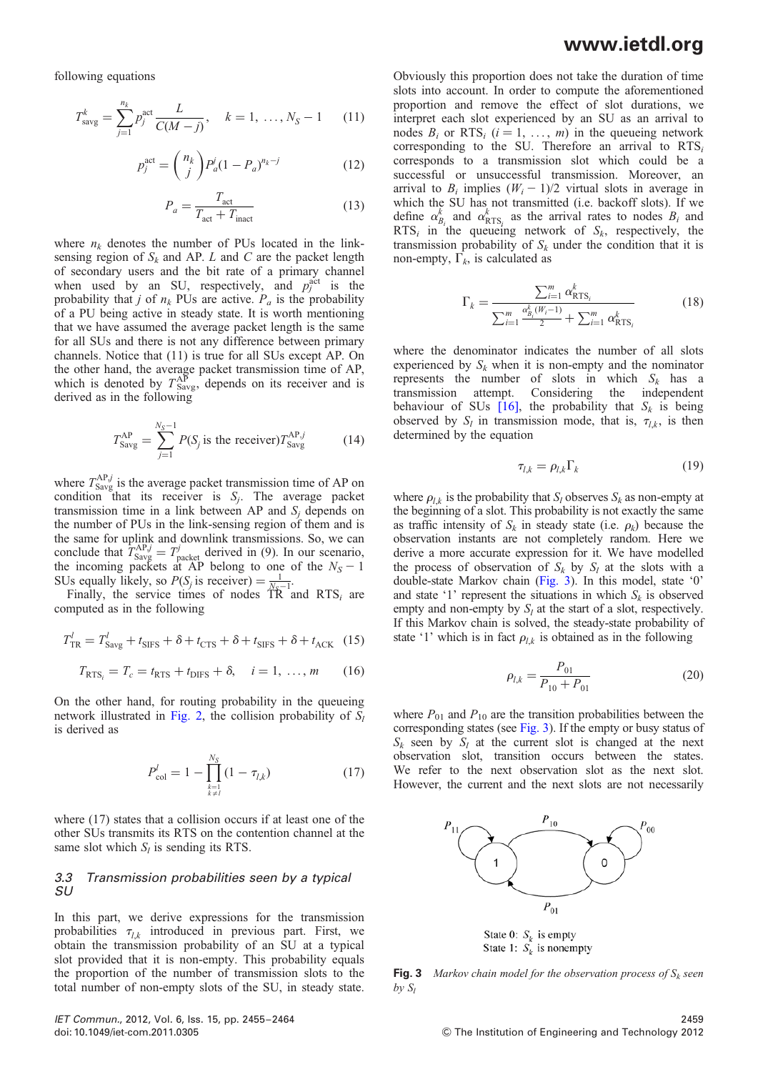following equations

$$
T_{\text{savg}}^k = \sum_{j=1}^{n_k} p_j^{\text{act}} \frac{L}{C(M-j)}, \quad k = 1, \dots, N_S - 1 \quad (11)
$$

$$
p_j^{\text{act}} = \binom{n_k}{j} P_a^j (1 - P_a)^{n_k - j} \tag{12}
$$

$$
P_a = \frac{T_{\text{act}}}{T_{\text{act}} + T_{\text{inact}}} \tag{13}
$$

where  $n_k$  denotes the number of PUs located in the linksensing region of  $S_k$  and AP. L and C are the packet length of secondary users and the bit rate of a primary channel when used by an SU, respectively, and  $p_j^{\text{act}}$  is the probability that j of  $n_k$  PUs are active.  $P_a$  is the probability of a PU being active in steady state. It is worth mentioning that we have assumed the average packet length is the same for all SUs and there is not any difference between primary channels. Notice that (11) is true for all SUs except AP. On the other hand, the average packet transmission time of AP, which is denoted by  $T_{\text{Savg}}^{\text{AP}}$ , depends on its receiver and is derived as in the following

$$
T_{\text{Savg}}^{\text{AP}} = \sum_{j=1}^{N_S - 1} P(S_j \text{ is the receiver}) T_{\text{Savg}}^{\text{AP},j} \tag{14}
$$

where  $T_{\text{Savg}}^{\text{AP},j}$  is the average packet transmission time of AP on condition that its receiver is  $S_j$ . The average packet transmission time in a link between AP and  $S_i$  depends on the number of PUs in the link-sensing region of them and is the same for uplink and downlink transmissions. So, we can conclude that  $T_{\text{Savg}}^{\text{AP},j} = T_{\text{packet}}^j$  derived in (9). In our scenario, the incoming packets at AP belong to one of the  $N_S - 1$ 

SUs equally likely, so  $P(S_j \text{ is receiver}) = \frac{1}{N_c-1}$ .<br>Finally, the service times of nodes TR and RTS<sub>i</sub> are computed as in the following

$$
T_{\rm TR}^l = T_{\rm Savg}^l + t_{\rm SIFS} + \delta + t_{\rm CTS} + \delta + t_{\rm SIFS} + \delta + t_{\rm ACK} \quad (15)
$$

$$
T_{\text{RTS}_i} = T_c = t_{\text{RTS}} + t_{\text{DIFS}} + \delta, \quad i = 1, \dots, m \tag{16}
$$

On the other hand, for routing probability in the queueing network illustrated in Fig. 2, the collision probability of  $S_l$ is derived as

$$
P_{\text{col}}^{l} = 1 - \prod_{\substack{k=1\\k \neq l}}^{N_S} (1 - \tau_{l,k})
$$
 (17)

where (17) states that a collision occurs if at least one of the other SUs transmits its RTS on the contention channel at the same slot which  $S_l$  is sending its RTS.

#### 3.3 Transmission probabilities seen by a typical SU

In this part, we derive expressions for the transmission probabilities  $\tau_{lk}$  introduced in previous part. First, we obtain the transmission probability of an SU at a typical slot provided that it is non-empty. This probability equals the proportion of the number of transmission slots to the total number of non-empty slots of the SU, in steady state.

Obviously this proportion does not take the duration of time slots into account. In order to compute the aforementioned proportion and remove the effect of slot durations, we interpret each slot experienced by an SU as an arrival to nodes  $B_i$  or RTS<sub>i</sub>  $(i = 1, \ldots, m)$  in the queueing network corresponding to the SU. Therefore an arrival to  $RTS_i$ corresponds to a transmission slot which could be a successful or unsuccessful transmission. Moreover, an arrival to  $B_i$  implies  $(W_i - 1)/2$  virtual slots in average in which the SU has not transmitted (i.e. backoff slots). If we define  $\alpha_{B_i}^k$  and  $\alpha_{RTS_i}^k$  as the arrival rates to nodes  $B_i$  and RTS<sub>i</sub> in the queueing network of  $S_k$ , respectively, the transmission probability of  $S_k$  under the condition that it is non-empty,  $\Gamma_k$ , is calculated as

$$
\Gamma_k = \frac{\sum_{i=1}^m \alpha_{\text{RTS}_i}^k}{\sum_{i=1}^m \frac{\alpha_{B_i}^k (W_i - 1)}{2} + \sum_{i=1}^m \alpha_{\text{RTS}_i}^k}
$$
(18)

where the denominator indicates the number of all slots experienced by  $S_k$  when it is non-empty and the nominator represents the number of slots in which  $S_k$  has a transmission attempt. Considering the independent behaviour of SUs [16], the probability that  $S_k$  is being observed by  $S_l$  in transmission mode, that is,  $\tau_{lk}$ , is then determined by the equation

$$
\tau_{l,k} = \rho_{l,k} \Gamma_k \tag{19}
$$

where  $\rho_{l,k}$  is the probability that  $S_l$  observes  $S_k$  as non-empty at the beginning of a slot. This probability is not exactly the same as traffic intensity of  $S_k$  in steady state (i.e.  $\rho_k$ ) because the observation instants are not completely random. Here we derive a more accurate expression for it. We have modelled the process of observation of  $S_k$  by  $S_l$  at the slots with a double-state Markov chain (Fig. 3). In this model, state '0' and state '1' represent the situations in which  $S_k$  is observed empty and non-empty by  $S_l$  at the start of a slot, respectively. If this Markov chain is solved, the steady-state probability of state '1' which is in fact  $\rho_{l,k}$  is obtained as in the following

$$
\rho_{l,k} = \frac{P_{01}}{P_{10} + P_{01}}\tag{20}
$$

where  $P_{01}$  and  $P_{10}$  are the transition probabilities between the corresponding states (see Fig. 3). If the empty or busy status of  $S_k$  seen by  $S_l$  at the current slot is changed at the next observation slot, transition occurs between the states. We refer to the next observation slot as the next slot. However, the current and the next slots are not necessarily



State 0:  $S_k$  is empty State 1:  $S_k$  is nonempty

**Fig. 3** Markov chain model for the observation process of  $S_k$  seen by  $S_l$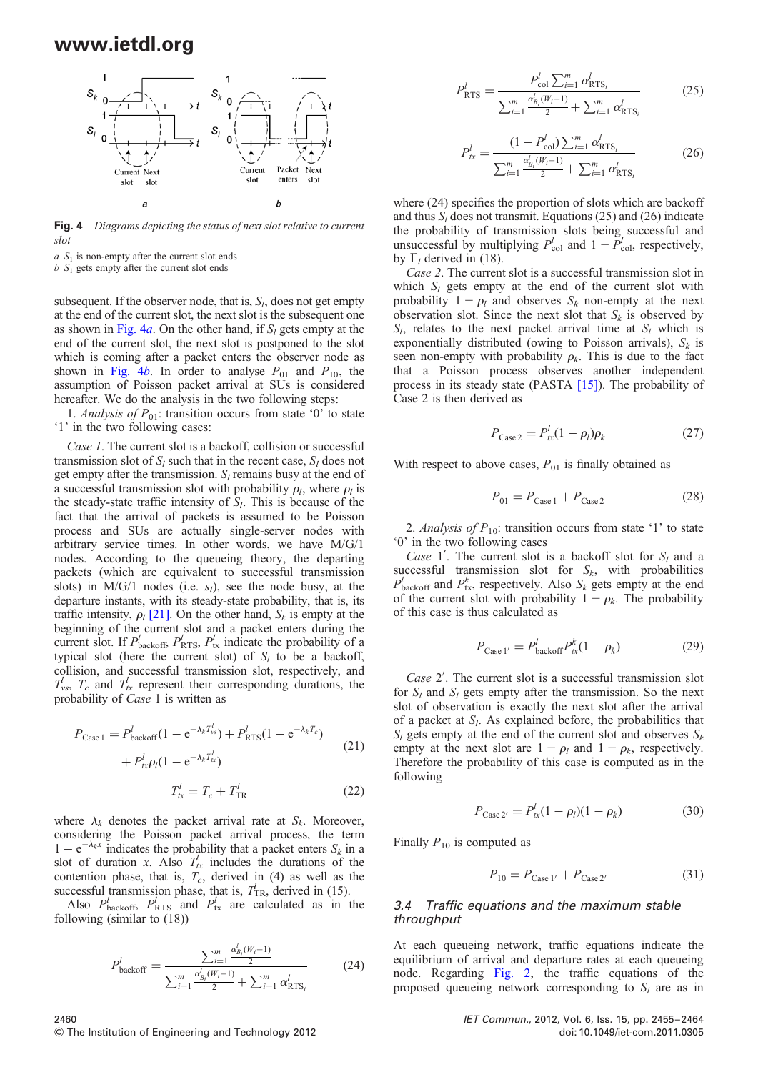

Fig. 4 Diagrams depicting the status of next slot relative to current slot

 $a S<sub>1</sub>$  is non-empty after the current slot ends

 $b S<sub>1</sub>$  gets empty after the current slot ends

subsequent. If the observer node, that is,  $S_l$ , does not get empty at the end of the current slot, the next slot is the subsequent one as shown in Fig. 4a. On the other hand, if  $S_l$  gets empty at the end of the current slot, the next slot is postponed to the slot which is coming after a packet enters the observer node as shown in Fig. 4b. In order to analyse  $P_{01}$  and  $P_{10}$ , the assumption of Poisson packet arrival at SUs is considered hereafter. We do the analysis in the two following steps:

1. Analysis of  $P_{01}$ : transition occurs from state '0' to state '1' in the two following cases:

Case 1. The current slot is a backoff, collision or successful transmission slot of  $S_l$  such that in the recent case,  $S_l$  does not get empty after the transmission.  $S_l$  remains busy at the end of a successful transmission slot with probability  $\rho_l$ , where  $\rho_l$  is the steady-state traffic intensity of  $S_l$ . This is because of the fact that the arrival of packets is assumed to be Poisson process and SUs are actually single-server nodes with arbitrary service times. In other words, we have M/G/1 nodes. According to the queueing theory, the departing packets (which are equivalent to successful transmission slots) in  $M/G/1$  nodes (i.e.  $s<sub>l</sub>$ ), see the node busy, at the departure instants, with its steady-state probability, that is, its traffic intensity,  $\rho_l$  [21]. On the other hand,  $S_k$  is empty at the beginning of the current slot and a packet enters during the current slot. If  $P_{\text{backoff}}^l$ ,  $P_{\text{RTS}}^l$ ,  $P_{\text{tx}}^l$  indicate the probability of a typical slot (here the current slot) of  $S<sub>l</sub>$  to be a backoff, collision, and successful transmission slot, respectively, and  $T_{\text{vs}}$ ,  $T_c$  and  $T_{\text{tx}}$  represent their corresponding durations, the probability of Case 1 is written as

$$
P_{\text{Case 1}} = P_{\text{backoff}}^{l}(1 - e^{-\lambda_k T_{\text{vs}}^{l}}) + P_{\text{RTS}}^{l}(1 - e^{-\lambda_k T_c}) + P_{\text{tx}}^{l} \rho_l (1 - e^{-\lambda_k T_{\text{tx}}^{l}})
$$
\n
$$
T_{\text{tx}}^{l} = T_c + T_{\text{TR}}^{l}
$$
\n(22)

where  $\lambda_k$  denotes the packet arrival rate at  $S_k$ . Moreover, considering the Poisson packet arrival process, the term  $1 - e^{-\lambda_k x}$  indicates the probability that a packet enters  $S_k$  in a slot of duration x. Also  $T_{tx}^{l}$  includes the durations of the contention phase, that is,  $T_c$ , derived in (4) as well as the successful transmission phase, that is,  $T_{TR}$ , derived in (15).

Also  $P_{\text{backoff}}^l$ ,  $P_{\text{RTS}}^l$  and  $P_{\text{tx}}^l$  are calculated as in the following (similar to (18))

$$
P_{\text{backoff}}^l = \frac{\sum_{i=1}^m \frac{\alpha_{B_i}^l(W_i - 1)}{2}}{\sum_{i=1}^m \frac{\alpha_{B_i}^l(W_i - 1)}{2} + \sum_{i=1}^m \alpha_{\text{RTS}_i}^l}
$$
(24)

$$
P_{\text{RTS}}^l = \frac{P_{\text{col}}^l \sum_{i=1}^m \alpha_{\text{RTS}_i}^l}{\sum_{i=1}^m \frac{\alpha_{B_i}^l (W_i - 1)}{2} + \sum_{i=1}^m \alpha_{\text{RTS}_i}^l}
$$
(25)

$$
P_{tx}^{l} = \frac{(1 - P_{\text{col}}^{l}) \sum_{i=1}^{m} \alpha_{\text{RTS}_{i}}^{l}}{\sum_{i=1}^{m} \frac{\alpha_{B_{i}}^{l} (W_{i} - 1)}{2} + \sum_{i=1}^{m} \alpha_{\text{RTS}_{i}}^{l}}
$$
(26)

where  $(24)$  specifies the proportion of slots which are backoff and thus  $S_l$  does not transmit. Equations (25) and (26) indicate the probability of transmission slots being successful and unsuccessful by multiplying  $P_{\text{col}}^l$  and  $1 - \overline{P}_{\text{col}}^l$ , respectively, by  $\Gamma$ <sub>l</sub> derived in (18).

Case 2. The current slot is a successful transmission slot in which  $S_l$  gets empty at the end of the current slot with probability  $1 - \rho_l$  and observes  $S_k$  non-empty at the next observation slot. Since the next slot that  $S_k$  is observed by  $S_l$ , relates to the next packet arrival time at  $S_l$  which is exponentially distributed (owing to Poisson arrivals),  $S_k$  is seen non-empty with probability  $\rho_k$ . This is due to the fact that a Poisson process observes another independent process in its steady state (PASTA [15]). The probability of Case 2 is then derived as

$$
P_{\text{Case 2}} = P_{tx}^l (1 - \rho_l) \rho_k \tag{27}
$$

With respect to above cases,  $P_{01}$  is finally obtained as

$$
P_{01} = P_{\text{Case 1}} + P_{\text{Case 2}} \tag{28}
$$

2. Analysis of  $P_{10}$ : transition occurs from state '1' to state '0' in the two following cases

*Case* 1'. The current slot is a backoff slot for  $S_l$  and a successful transmission slot for  $S_k$ , with probabilities  $P_{\text{backoff}}^l$  and  $P_{\text{tx}}^k$ , respectively. Also  $S_k$  gets empty at the end of the current slot with probability  $1 - \rho_k$ . The probability of this case is thus calculated as

$$
P_{\text{Case 1}'} = P_{\text{backoff}}^l P_{tx}^k (1 - \rho_k) \tag{29}
$$

Case 2′ . The current slot is a successful transmission slot for  $S_l$  and  $S_l$  gets empty after the transmission. So the next slot of observation is exactly the next slot after the arrival of a packet at  $S_l$ . As explained before, the probabilities that  $S_l$  gets empty at the end of the current slot and observes  $S_k$ empty at the next slot are  $1 - \rho_l$  and  $1 - \rho_k$ , respectively. Therefore the probability of this case is computed as in the following

$$
P_{\text{Case 2'}} = P_{tx}^l (1 - \rho_l)(1 - \rho_k) \tag{30}
$$

Finally  $P_{10}$  is computed as

$$
P_{10} = P_{\text{Case 1}'} + P_{\text{Case 2}'} \tag{31}
$$

#### 3.4 Traffic equations and the maximum stable throughput

At each queueing network, traffic equations indicate the equilibrium of arrival and departure rates at each queueing node. Regarding Fig. 2, the traffic equations of the proposed queueing network corresponding to  $S_l$  are as in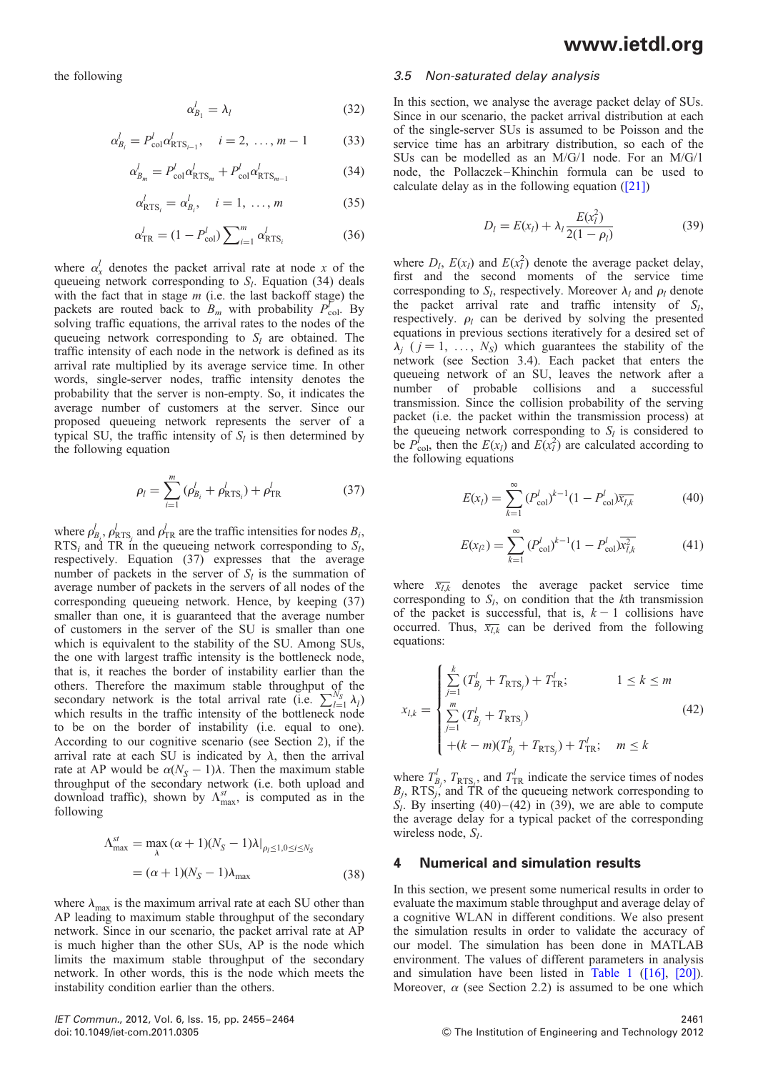the following

$$
\alpha_{B_1}^l = \lambda_l \tag{32}
$$

$$
\alpha_{B_i}^l = P_{\text{col}}^l \alpha_{\text{RTS}_{i-1}}^l, \quad i = 2, \dots, m-1 \tag{33}
$$

$$
\alpha_{B_m}^l = P_{\text{col}}^l \alpha_{\text{RTS}_m}^l + P_{\text{col}}^l \alpha_{\text{RTS}_{m-1}}^l \tag{34}
$$

$$
\alpha_{\text{RTS}_i}^l = \alpha_{B_i}^l, \quad i = 1, \dots, m \tag{35}
$$

$$
\alpha_{\rm TR}^l = (1 - P_{\rm col}^l) \sum_{i=1}^m \alpha_{\rm RTS_i}^l \tag{36}
$$

where  $\alpha_x^l$  denotes the packet arrival rate at node x of the queueing network corresponding to  $S_l$ . Equation (34) deals with the fact that in stage  $m$  (i.e. the last backoff stage) the packets are routed back to  $B_m$  with probability  $P_{\text{col}}^V$ . By solving traffic equations, the arrival rates to the nodes of the queueing network corresponding to  $S_l$  are obtained. The traffic intensity of each node in the network is defined as its arrival rate multiplied by its average service time. In other words, single-server nodes, traffic intensity denotes the probability that the server is non-empty. So, it indicates the average number of customers at the server. Since our proposed queueing network represents the server of a typical SU, the traffic intensity of  $S_l$  is then determined by the following equation

$$
\rho_l = \sum_{i=1}^{m} (\rho_{B_i}^l + \rho_{RTS_i}^l) + \rho_{TR}^l
$$
 (37)

where  $\rho_{B_i}^l$ ,  $\rho_{\text{RTS}_i}^l$  and  $\rho_{\text{TR}}^l$  are the traffic intensities for nodes  $B_i$ ,  $RTS_i$  and TR in the queueing network corresponding to  $S_i$ , respectively. Equation (37) expresses that the average number of packets in the server of  $S_l$  is the summation of average number of packets in the servers of all nodes of the corresponding queueing network. Hence, by keeping (37) smaller than one, it is guaranteed that the average number of customers in the server of the SU is smaller than one which is equivalent to the stability of the SU. Among SUs, the one with largest traffic intensity is the bottleneck node, that is, it reaches the border of instability earlier than the others. Therefore the maximum stable throughput of the secondary network is the total arrival rate (i.e.  $\sum_{l=1}^{N_S} \lambda_l$ ) which results in the traffic intensity of the bottleneck node to be on the border of instability (i.e. equal to one). According to our cognitive scenario (see Section 2), if the arrival rate at each SU is indicated by  $\lambda$ , then the arrival rate at AP would be  $\alpha(N_S - 1)\lambda$ . Then the maximum stable throughput of the secondary network (i.e. both upload and download traffic), shown by  $\Lambda_{\text{max}}^{st}$ , is computed as in the following

$$
\begin{aligned} \Lambda_{\text{max}}^{st} &= \max_{\lambda} \left( \alpha + 1 \right) (N_S - 1) \lambda \big|_{\rho_I \le 1, 0 \le i \le N_S} \\ &= (\alpha + 1)(N_S - 1) \lambda_{\text{max}} \end{aligned} \tag{38}
$$

where  $\lambda_{\text{max}}$  is the maximum arrival rate at each SU other than AP leading to maximum stable throughput of the secondary network. Since in our scenario, the packet arrival rate at AP is much higher than the other SUs, AP is the node which limits the maximum stable throughput of the secondary network. In other words, this is the node which meets the instability condition earlier than the others.

## www.ietdl.org

#### 3.5 Non-saturated delay analysis

In this section, we analyse the average packet delay of SUs. Since in our scenario, the packet arrival distribution at each of the single-server SUs is assumed to be Poisson and the service time has an arbitrary distribution, so each of the SUs can be modelled as an M/G/1 node. For an M/G/1 node, the Pollaczek –Khinchin formula can be used to calculate delay as in the following equation  $(21)$ 

$$
D_l = E(x_l) + \lambda_l \frac{E(x_l^2)}{2(1 - \rho_l)}
$$
(39)

where  $D_l$ ,  $E(x_l)$  and  $E(x_l^2)$  denote the average packet delay, first and the second moments of the service time corresponding to  $S_l$ , respectively. Moreover  $\lambda_l$  and  $\rho_l$  denote the packet arrival rate and traffic intensity of  $S_l$ , respectively.  $\rho_l$  can be derived by solving the presented equations in previous sections iteratively for a desired set of  $\lambda_j$  (  $j = 1, \ldots, N_S$ ) which guarantees the stability of the network (see Section 3.4). Each packet that enters the queueing network of an SU, leaves the network after a number of probable collisions and a successful transmission. Since the collision probability of the serving packet (i.e. the packet within the transmission process) at the queueing network corresponding to  $S_l$  is considered to be  $P_{\text{col}}^{\dagger}$ , then the  $E(x_l)$  and  $E(x_l^2)$  are calculated according to the following equations

$$
E(x_l) = \sum_{k=1}^{\infty} (P_{\text{col}}^l)^{k-1} (1 - P_{\text{col}}^l) \overline{x_{l,k}}
$$
(40)

$$
E(x_{l^2}) = \sum_{k=1}^{\infty} (P_{\text{col}}^l)^{k-1} (1 - P_{\text{col}}^l) \overline{x_{l,k}^2}
$$
(41)

where  $\overline{x_{l,k}}$  denotes the average packet service time corresponding to  $S_l$ , on condition that the kth transmission of the packet is successful, that is,  $k - 1$  collisions have occurred. Thus,  $\overline{x_{l,k}}$  can be derived from the following equations:

$$
x_{l,k} = \begin{cases} \sum_{j=1}^{k} (T_{B_j}^l + T_{\text{RTS}_j}) + T_{\text{TR}}^l; & 1 \le k \le m \\ \sum_{j=1}^{m} (T_{B_j}^l + T_{\text{RTS}_j}) & (42) \\ + (k - m)(T_{B_j}^l + T_{\text{RTS}_j}) + T_{\text{TR}}^l; & m \le k \end{cases}
$$

where  $T_{B_j}^l$ ,  $T_{RTS_j}$ , and  $T_{TR}^l$  indicate the service times of nodes  $B_j$ , RTS<sub>j</sub>, and TR of the queueing network corresponding to  $S_l$ . By inserting (40)–(42) in (39), we are able to compute the average delay for a typical packet of the corresponding wireless node,  $S_l$ .

#### 4 Numerical and simulation results

In this section, we present some numerical results in order to evaluate the maximum stable throughput and average delay of a cognitive WLAN in different conditions. We also present the simulation results in order to validate the accuracy of our model. The simulation has been done in MATLAB environment. The values of different parameters in analysis and simulation have been listed in Table 1 ([16], [20]). Moreover,  $\alpha$  (see Section 2.2) is assumed to be one which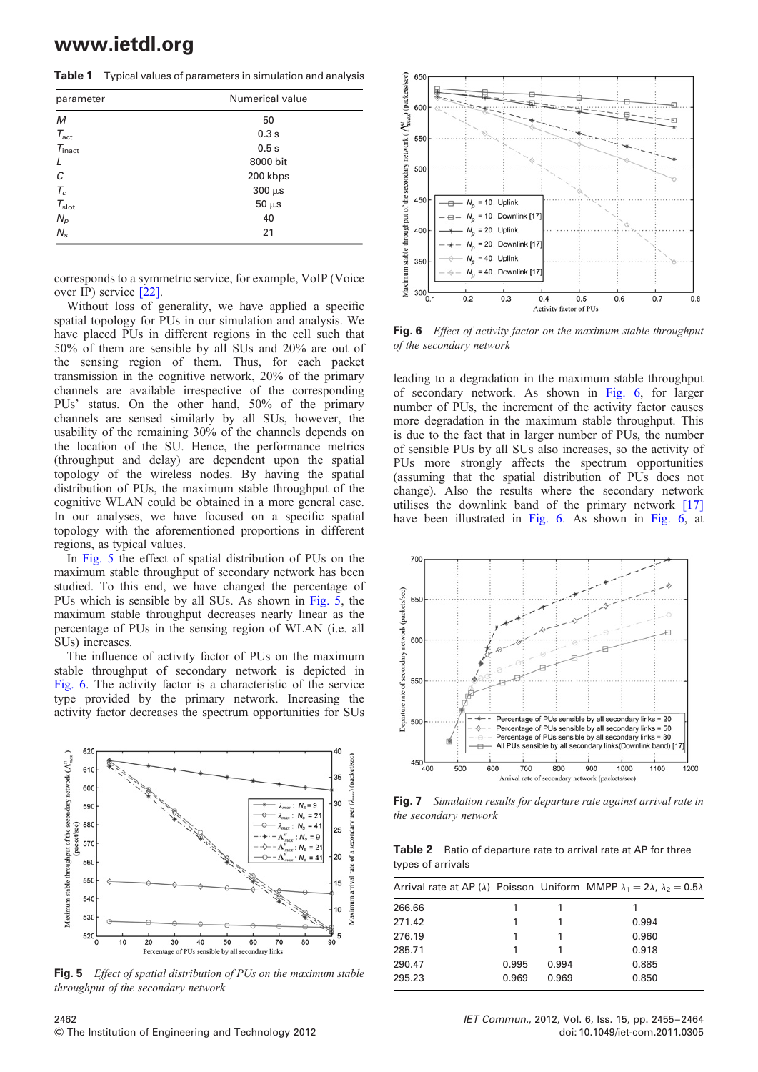Table 1 Typical values of parameters in simulation and analysis

| parameter                                | Numerical value |  |  |  |
|------------------------------------------|-----------------|--|--|--|
| M                                        | 50              |  |  |  |
| $T_{\rm act}$                            | 0.3s            |  |  |  |
| $T_{\text{inact}}$                       | 0.5s            |  |  |  |
| $\prime$                                 | 8000 bit        |  |  |  |
| С                                        | 200 kbps        |  |  |  |
|                                          | $300 \mu s$     |  |  |  |
| $\frac{T_c}{T_{\text{slot}}}$            | $50 \mu s$      |  |  |  |
| $\begin{array}{c} N_p \ N_s \end{array}$ | 40              |  |  |  |
|                                          | 21              |  |  |  |

corresponds to a symmetric service, for example, VoIP (Voice over IP) service [22].

Without loss of generality, we have applied a specific spatial topology for PUs in our simulation and analysis. We have placed PUs in different regions in the cell such that 50% of them are sensible by all SUs and 20% are out of the sensing region of them. Thus, for each packet transmission in the cognitive network, 20% of the primary channels are available irrespective of the corresponding PUs' status. On the other hand, 50% of the primary channels are sensed similarly by all SUs, however, the usability of the remaining 30% of the channels depends on the location of the SU. Hence, the performance metrics (throughput and delay) are dependent upon the spatial topology of the wireless nodes. By having the spatial distribution of PUs, the maximum stable throughput of the cognitive WLAN could be obtained in a more general case. In our analyses, we have focused on a specific spatial topology with the aforementioned proportions in different regions, as typical values.

In Fig. 5 the effect of spatial distribution of PUs on the maximum stable throughput of secondary network has been studied. To this end, we have changed the percentage of PUs which is sensible by all SUs. As shown in Fig. 5, the maximum stable throughput decreases nearly linear as the percentage of PUs in the sensing region of WLAN (i.e. all SUs) increases.

The influence of activity factor of PUs on the maximum stable throughput of secondary network is depicted in Fig. 6. The activity factor is a characteristic of the service type provided by the primary network. Increasing the activity factor decreases the spectrum opportunities for SUs



Fig. 5 Effect of spatial distribution of PUs on the maximum stable throughput of the secondary network



Fig. 6 Effect of activity factor on the maximum stable throughput of the secondary network

leading to a degradation in the maximum stable throughput of secondary network. As shown in Fig. 6, for larger number of PUs, the increment of the activity factor causes more degradation in the maximum stable throughput. This is due to the fact that in larger number of PUs, the number of sensible PUs by all SUs also increases, so the activity of PUs more strongly affects the spectrum opportunities (assuming that the spatial distribution of PUs does not change). Also the results where the secondary network utilises the downlink band of the primary network [17] have been illustrated in Fig. 6. As shown in Fig. 6, at



**Fig. 7** Simulation results for departure rate against arrival rate in the secondary network

Table 2 Ratio of departure rate to arrival rate at AP for three types of arrivals

|        |       |       | Arrival rate at AP ( $\lambda$ ) Poisson Uniform MMPP $\lambda_1 = 2\lambda$ , $\lambda_2 = 0.5\lambda$ |
|--------|-------|-------|---------------------------------------------------------------------------------------------------------|
| 266.66 |       |       | 1                                                                                                       |
| 271.42 |       |       | 0.994                                                                                                   |
| 276.19 |       |       | 0.960                                                                                                   |
| 285.71 |       |       | 0.918                                                                                                   |
| 290.47 | 0.995 | 0.994 | 0.885                                                                                                   |
| 295.23 | 0.969 | 0.969 | 0.850                                                                                                   |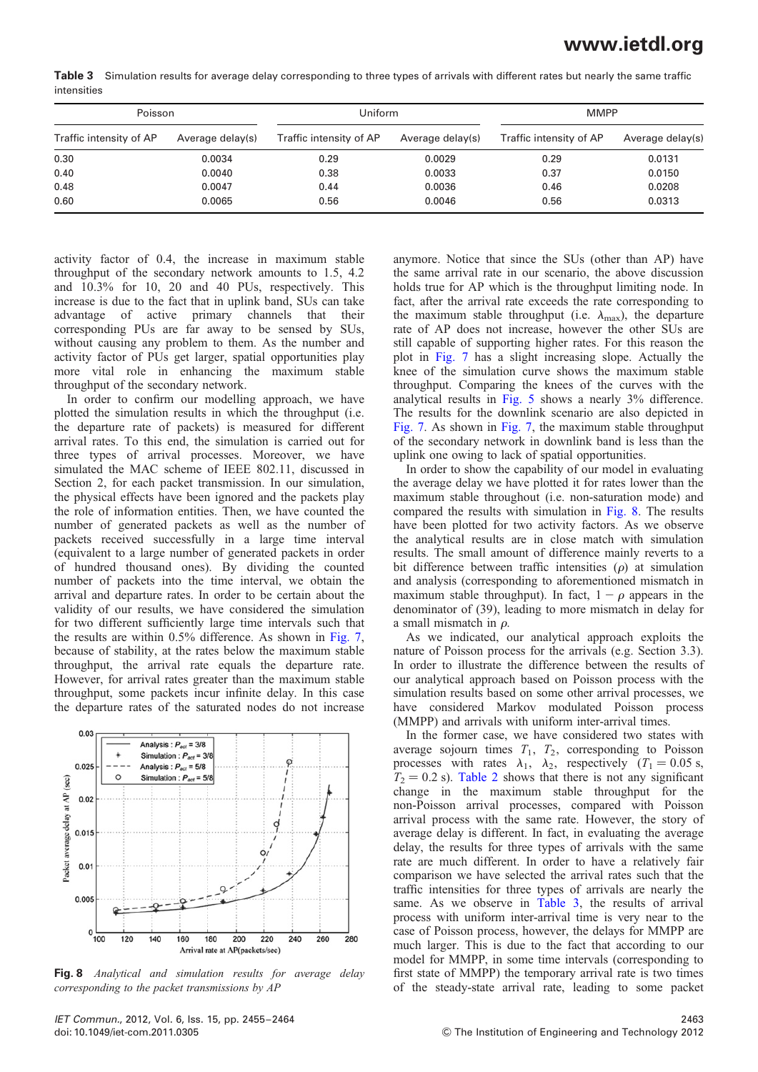Table 3 Simulation results for average delay corresponding to three types of arrivals with different rates but nearly the same traffic intensities

| Poisson                 |                  | Uniform                 |                  | <b>MMPP</b>             |                  |
|-------------------------|------------------|-------------------------|------------------|-------------------------|------------------|
| Traffic intensity of AP | Average delay(s) | Traffic intensity of AP | Average delay(s) | Traffic intensity of AP | Average delay(s) |
| 0.30                    | 0.0034           | 0.29                    | 0.0029           | 0.29                    | 0.0131           |
| 0.40                    | 0.0040           | 0.38                    | 0.0033           | 0.37                    | 0.0150           |
| 0.48                    | 0.0047           | 0.44                    | 0.0036           | 0.46                    | 0.0208           |
| 0.60                    | 0.0065           | 0.56                    | 0.0046           | 0.56                    | 0.0313           |

activity factor of 0.4, the increase in maximum stable throughput of the secondary network amounts to 1.5, 4.2 and 10.3% for 10, 20 and 40 PUs, respectively. This increase is due to the fact that in uplink band, SUs can take advantage of active primary channels that their corresponding PUs are far away to be sensed by SUs, without causing any problem to them. As the number and activity factor of PUs get larger, spatial opportunities play more vital role in enhancing the maximum stable throughput of the secondary network.

In order to confirm our modelling approach, we have plotted the simulation results in which the throughput (i.e. the departure rate of packets) is measured for different arrival rates. To this end, the simulation is carried out for three types of arrival processes. Moreover, we have simulated the MAC scheme of IEEE 802.11, discussed in Section 2, for each packet transmission. In our simulation, the physical effects have been ignored and the packets play the role of information entities. Then, we have counted the number of generated packets as well as the number of packets received successfully in a large time interval (equivalent to a large number of generated packets in order of hundred thousand ones). By dividing the counted number of packets into the time interval, we obtain the arrival and departure rates. In order to be certain about the validity of our results, we have considered the simulation for two different sufficiently large time intervals such that the results are within 0.5% difference. As shown in Fig. 7, because of stability, at the rates below the maximum stable throughput, the arrival rate equals the departure rate. However, for arrival rates greater than the maximum stable throughput, some packets incur infinite delay. In this case the departure rates of the saturated nodes do not increase



Fig. 8 Analytical and simulation results for average delay corresponding to the packet transmissions by AP

anymore. Notice that since the SUs (other than AP) have the same arrival rate in our scenario, the above discussion holds true for AP which is the throughput limiting node. In fact, after the arrival rate exceeds the rate corresponding to the maximum stable throughput (i.e.  $\lambda_{\text{max}}$ ), the departure rate of AP does not increase, however the other SUs are still capable of supporting higher rates. For this reason the plot in Fig. 7 has a slight increasing slope. Actually the knee of the simulation curve shows the maximum stable throughput. Comparing the knees of the curves with the analytical results in Fig. 5 shows a nearly 3% difference. The results for the downlink scenario are also depicted in Fig. 7. As shown in Fig. 7, the maximum stable throughput of the secondary network in downlink band is less than the uplink one owing to lack of spatial opportunities.

In order to show the capability of our model in evaluating the average delay we have plotted it for rates lower than the maximum stable throughout (i.e. non-saturation mode) and compared the results with simulation in Fig. 8. The results have been plotted for two activity factors. As we observe the analytical results are in close match with simulation results. The small amount of difference mainly reverts to a bit difference between traffic intensities  $(\rho)$  at simulation and analysis (corresponding to aforementioned mismatch in maximum stable throughput). In fact,  $1 - \rho$  appears in the denominator of (39), leading to more mismatch in delay for a small mismatch in  $\rho$ .

As we indicated, our analytical approach exploits the nature of Poisson process for the arrivals (e.g. Section 3.3). In order to illustrate the difference between the results of our analytical approach based on Poisson process with the simulation results based on some other arrival processes, we have considered Markov modulated Poisson process (MMPP) and arrivals with uniform inter-arrival times.

In the former case, we have considered two states with average sojourn times  $T_1$ ,  $T_2$ , corresponding to Poisson processes with rates  $\lambda_1$ ,  $\lambda_2$ , respectively (T<sub>1</sub> = 0.05 s,  $T_2 = 0.2$  s). Table 2 shows that there is not any significant change in the maximum stable throughput for the non-Poisson arrival processes, compared with Poisson arrival process with the same rate. However, the story of average delay is different. In fact, in evaluating the average delay, the results for three types of arrivals with the same rate are much different. In order to have a relatively fair comparison we have selected the arrival rates such that the traffic intensities for three types of arrivals are nearly the same. As we observe in Table 3, the results of arrival process with uniform inter-arrival time is very near to the case of Poisson process, however, the delays for MMPP are much larger. This is due to the fact that according to our model for MMPP, in some time intervals (corresponding to first state of MMPP) the temporary arrival rate is two times of the steady-state arrival rate, leading to some packet